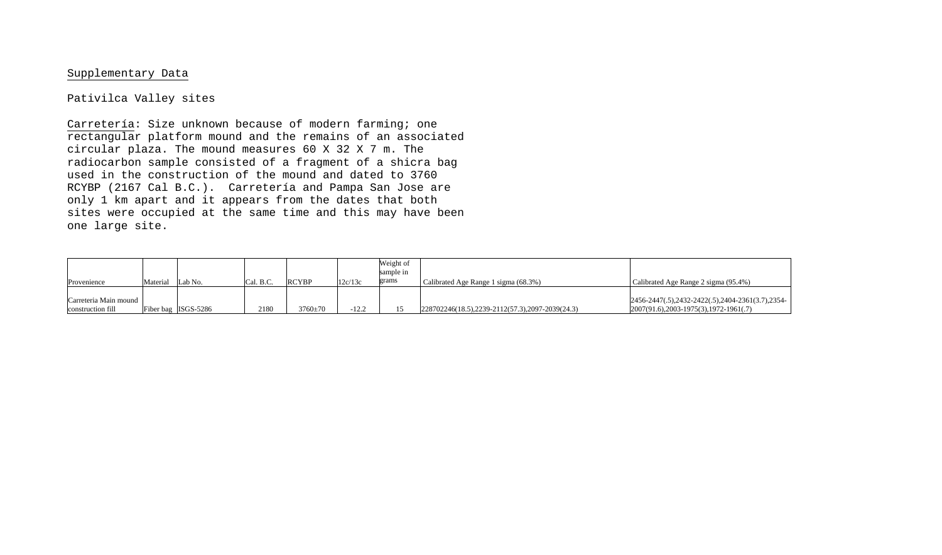## Supplementary Data

## Pativilca Valley sites

Carretería: Size unknown because of modern farming; one rectangular platform mound and the remains of an associated circular plaza. The mound measures 60 X 32 X 7 m. The radiocarbon sample consisted of a fragment of a shicra bag used in the construction of the mound and dated to 3760 RCYBP (2167 Cal B.C.). Carretería and Pampa San Jose are only 1 km apart and it appears from the dates that both sites were occupied at the same time and this may have been one large site.

| Provenience                                | Material | Lab No.             | Cal. B.C. | <b>RCYBP</b>  | 12c/13c | Weight of<br>sample in<br>grams | Calibrated Age Range 1 sigma (68.3%)            | Calibrated Age Range 2 sigma (95.4%)                                                           |
|--------------------------------------------|----------|---------------------|-----------|---------------|---------|---------------------------------|-------------------------------------------------|------------------------------------------------------------------------------------------------|
| Carreteria Main mound<br>construction fill |          | Fiber bag ISGS-5286 | 2180      | $3760 \pm 70$ | $-12.2$ |                                 | 228702246(18.5),2239-2112(57.3),2097-2039(24.3) | 2456-2447(.5),2432-2422(.5),2404-2361(3.7),2354-<br>$2007(91.6), 2003-1975(3), 1972-1961(0.7)$ |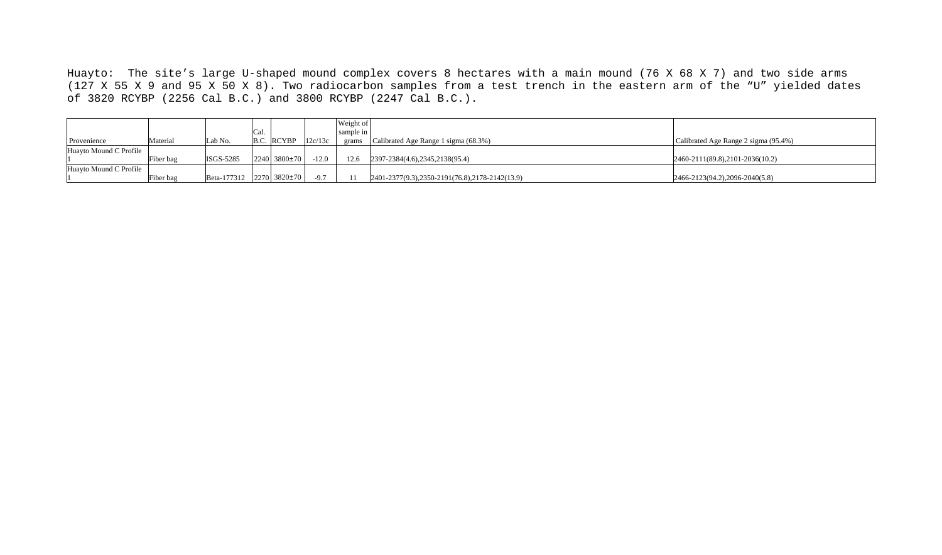Huayto: The site's large U-shaped mound complex covers 8 hectares with a main mound (76 X 68 X 7) and two side arms (127 X 55 X 9 and 95 X 50 X 8). Two radiocarbon samples from a test trench in the eastern arm of the "U" yielded dates of 3820 RCYBP (2256 Cal B.C.) and 3800 RCYBP (2247 Cal B.C.).

|                        |           |                          |                  |         | Weight of |                                                |                                        |
|------------------------|-----------|--------------------------|------------------|---------|-----------|------------------------------------------------|----------------------------------------|
|                        |           |                          |                  |         | sample in |                                                |                                        |
| Provenience            | Material  | Lab No.                  | B.C. RCYBP       | 12c/13c | grams     | Calibrated Age Range 1 sigma (68.3%)           | Calibrated Age Range 2 sigma (95.4%)   |
| Huayto Mound C Profile |           |                          |                  |         |           |                                                |                                        |
|                        | Fiber bag | ISGS-5285                | $2240$   3800±70 | $-12.0$ | 12.6      | 2397-2384(4.6), 2345, 2138(95.4)               | $2460 - 2111(89.8), 2101 - 2036(10.2)$ |
| Huayto Mound C Profile |           |                          |                  |         |           |                                                |                                        |
|                        | Fiber bag | Beta-177312 2270 3820±70 |                  | $-9.7$  |           | 2401-2377(9.3),2350-2191(76.8),2178-2142(13.9) | 2466-2123(94.2), 2096-2040(5.8)        |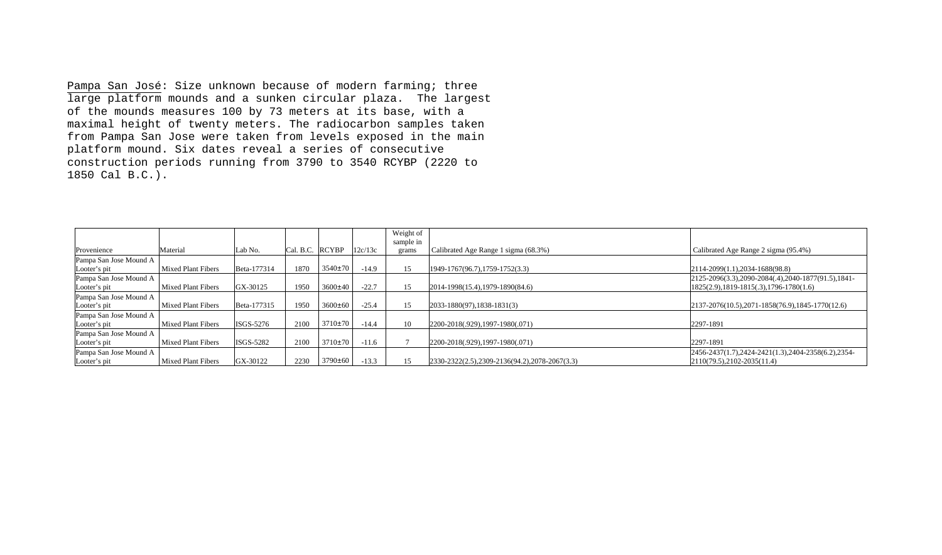Pampa San José: Size unknown because of modern farming; three large platform mounds and a sunken circular plaza. The largest of the mounds measures 100 by 73 meters at its base, with a maximal height of twenty meters. The radiocarbon samples taken from Pampa San Jose were taken from levels exposed in the main platform mound. Six dates reveal a series of consecutive construction periods running from 3790 to 3540 RCYBP (2220 to 1850 Cal B.C.).

|                                        |                           |             |                 |               |         | Weight of |                                               |                                                                                                     |
|----------------------------------------|---------------------------|-------------|-----------------|---------------|---------|-----------|-----------------------------------------------|-----------------------------------------------------------------------------------------------------|
|                                        |                           |             |                 |               |         | sample in |                                               |                                                                                                     |
| Provenience                            | Material                  | Lab No.     | Cal. B.C. RCYBP |               | 12c/13c | grams     | Calibrated Age Range 1 sigma (68.3%)          | Calibrated Age Range 2 sigma (95.4%)                                                                |
| Pampa San Jose Mound A<br>Looter's pit | <b>Mixed Plant Fibers</b> | Beta-177314 | 1870            | $3540 \pm 70$ | $-14.9$ | 15        | $1949-1767(96.7), 1759-1752(3.3)$             | 2114-2099(1.1), 2034-1688(98.8)                                                                     |
|                                        |                           |             |                 |               |         |           |                                               |                                                                                                     |
| Pampa San Jose Mound A<br>Looter's pit | <b>Mixed Plant Fibers</b> | GX-30125    | 1950            | $3600 \pm 40$ | $-22.7$ | 15        | 2014-1998(15.4), 1979-1890(84.6)              | 2125-2096(3.3), 2090-2084(.4), 2040-1877(91.5), 1841-<br>$1825(2.9), 1819-1815(.3), 1796-1780(1.6)$ |
| Pampa San Jose Mound A                 |                           |             |                 |               |         |           |                                               |                                                                                                     |
| Looter's pit                           | <b>Mixed Plant Fibers</b> | Beta-177315 | 1950            | $3600 \pm 60$ | $-25.4$ | 15        | $2033 - 1880(97)$ , 1838-1831(3)              | $[2137-2076(10.5),2071-1858(76.9),1845-1770(12.6)]$                                                 |
| Pampa San Jose Mound A                 |                           |             |                 |               |         |           |                                               |                                                                                                     |
| Looter's pit                           | <b>Mixed Plant Fibers</b> | ISGS-5276   | 2100            | $3710 \pm 70$ | $-14.4$ | 10        | 2200-2018(.929), 1997-1980(.071)              | 2297-1891                                                                                           |
| Pampa San Jose Mound A                 |                           |             |                 |               |         |           |                                               |                                                                                                     |
| Looter's pit                           | <b>Mixed Plant Fibers</b> | ISGS-5282   | 2100            | $3710 \pm 70$ | $-11.6$ |           | 2200-2018(.929), 1997-1980(.071)              | 2297-1891                                                                                           |
| Pampa San Jose Mound A                 |                           |             |                 |               |         |           |                                               | 2456-2437(1.7), 2424-2421(1.3), 2404-2358(6.2), 2354-                                               |
| Looter's pit                           | <b>Mixed Plant Fibers</b> | GX-30122    | 2230            | $3790 \pm 60$ | $-13.3$ | 15        | 2330-2322(2.5),2309-2136(94.2),2078-2067(3.3) | $ 2110(79.5), 2102-2035(11.4) $                                                                     |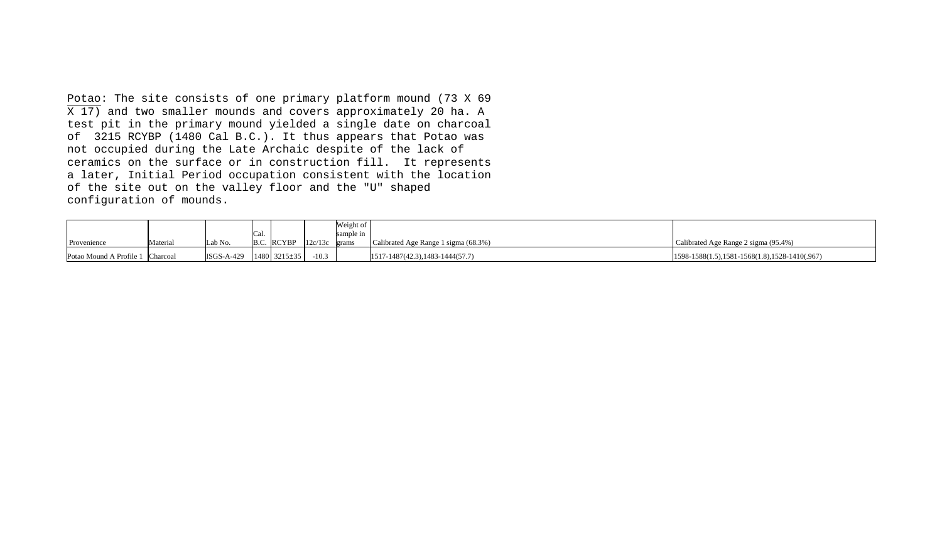Potao: The site consists of one primary platform mound (73 X 69  $\overline{X}$  17) and two smaller mounds and covers approximately 20 ha. A test pit in the primary mound yielded a single date on charcoal of 3215 RCYBP (1480 Cal B.C.). It thus appears that Potao was not occupied during the Late Archaic despite of the lack of ceramics on the surface or in construction fill. It represents a later, Initial Period occupation consistent with the location of the site out on the valley floor and the "U" shaped configuration of mounds.

|                                  |          |            |     |                  |         | Weight of<br>sample in |                                        |                                                   |
|----------------------------------|----------|------------|-----|------------------|---------|------------------------|----------------------------------------|---------------------------------------------------|
| Provenience                      | Material | Lab No.    | B.C | . RCYBP          | 12c/13c | grams                  | Calibrated Age Range 1 sigma (68.3%)   | Calibrated Age Range 2 sigma (95.4%)              |
| Potao Mound A Profile 1 Charcoal |          | ISGS-A-429 |     | $1480$ 3215 ± 35 | $-10.3$ |                        | $1517 - 1487(42.3), 1483 - 1444(57.7)$ | $1598-1588(1.5), 1581-1568(1.8), 1528-1410(.967)$ |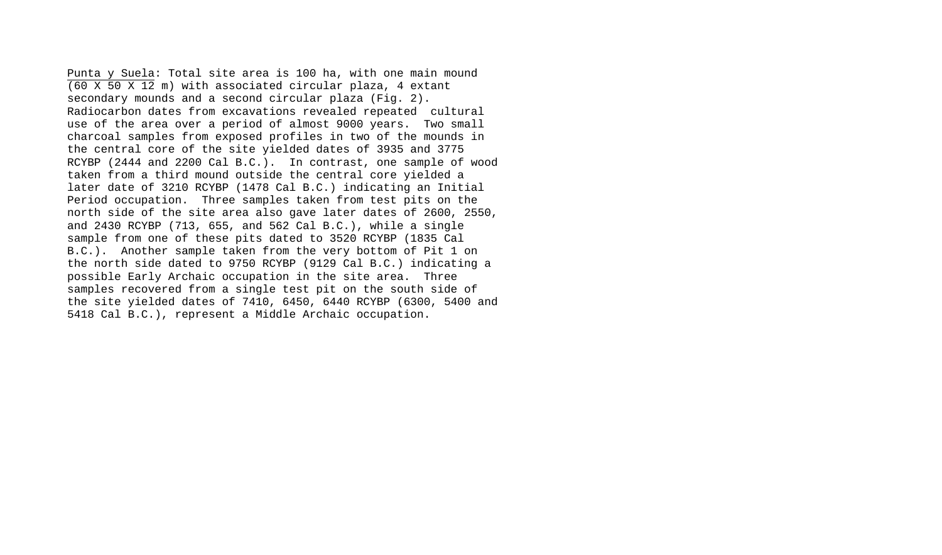Punta y Suela: Total site area is 100 ha, with one main mound (60 X 50 X 12 m) with associated circular plaza, 4 extant secondary mounds and a second circular plaza (Fig. 2). Radiocarbon dates from excavations revealed repeated cultural use of the area over a period of almost 9000 years. Two small charcoal samples from exposed profiles in two of the mounds in the central core of the site yielded dates of 3935 and 3775 RCYBP (2444 and 2200 Cal B.C.). In contrast, one sample of wood taken from a third mound outside the central core yielded a later date of 3210 RCYBP (1478 Cal B.C.) indicating an Initial Period occupation. Three samples taken from test pits on the north side of the site area also gave later dates of 2600, 2550, and 2430 RCYBP (713, 655, and 562 Cal B.C.), while a single sample from one of these pits dated to 3520 RCYBP (1835 Cal B.C.). Another sample taken from the very bottom of Pit 1 on the north side dated to 9750 RCYBP (9129 Cal B.C.) indicating a possible Early Archaic occupation in the site area. Three samples recovered from a single test pit on the south side of the site yielded dates of 7410, 6450, 6440 RCYBP (6300, 5400 and 5418 Cal B.C.), represent a Middle Archaic occupation.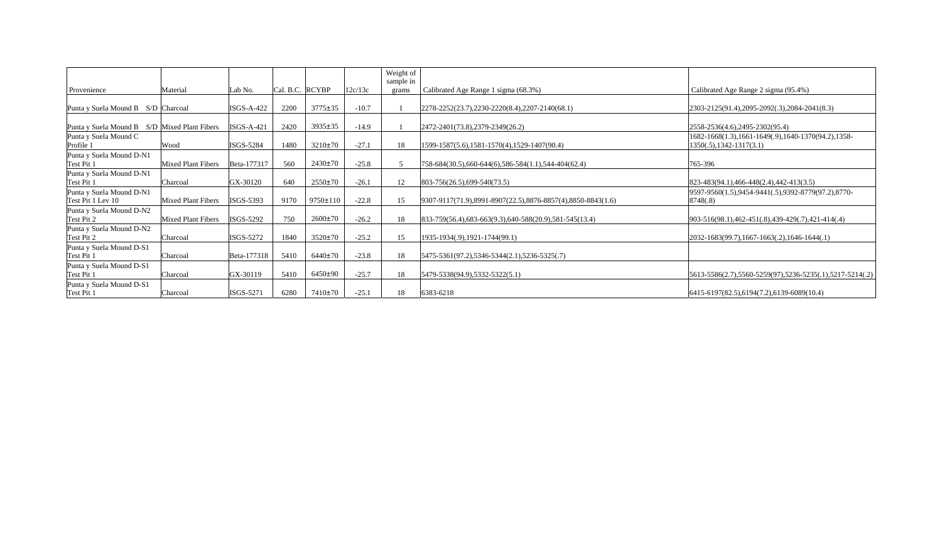|                                               |                           |                   |                 |                |         | Weight of          |                                                             |                                                                                  |
|-----------------------------------------------|---------------------------|-------------------|-----------------|----------------|---------|--------------------|-------------------------------------------------------------|----------------------------------------------------------------------------------|
| Provenience                                   | Material                  | Lab No.           | Cal. B.C. RCYBP |                | 12c/13c | sample in<br>grams | Calibrated Age Range 1 sigma (68.3%)                        | Calibrated Age Range 2 sigma (95.4%)                                             |
| Punta y Suela Mound B S/D Charcoal            |                           | <b>ISGS-A-422</b> | 2200            | $3775 \pm 35$  | $-10.7$ |                    | 2278-2252(23.7), 2230-2220(8.4), 2207-2140(68.1)            | 2303-2125(91.4), 2095-2092(.3), 2084-2041(8.3)                                   |
| Punta y Suela Mound B S/D Mixed Plant Fibers  |                           | <b>ISGS-A-421</b> | 2420            | $3935 \pm 35$  | $-14.9$ |                    | 2472-2401(73.8), 2379-2349(26.2)                            | 2558-2536(4.6), 2495-2302(95.4)                                                  |
| Punta y Suela Mound C<br>Profile 1            | Wood                      | ISGS-5284         | 1480            | $3210 \pm 70$  | $-27.1$ | 18                 | $1599-1587(5.6), 1581-1570(4), 1529-1407(90.4)$             | 1682-1668(1.3),1661-1649(.9),1640-1370(94.2),1358-<br>$1350(.5), 1342-1317(3.1)$ |
| Punta y Suela Mound D-N1<br>Test Pit 1        | <b>Mixed Plant Fibers</b> | Beta-177317       | 560             | $2430 \pm 70$  | $-25.8$ |                    | $758-684(30.5), 660-644(6), 586-584(1.1), 544-404(62.4)$    | 765-396                                                                          |
| Punta y Suela Mound D-N1<br>Test Pit 1        | Charcoal                  | GX-30120          | 640             | $2550 \pm 70$  | $-26.1$ | 12                 | $803-756(26.5), 699-540(73.5)$                              | 823-483(94.1),466-448(2.4),442-413(3.5)                                          |
| Punta y Suela Mound D-N1<br>Test Pit 1 Lev 10 | <b>Mixed Plant Fibers</b> | ISGS-5393         | 9170            | $9750 \pm 110$ | $-22.8$ | 15                 | 9307-9117(71.9),8991-8907(22.5),8876-8857(4),8850-8843(1.6) | 9597-9560(1.5),9454-9441(.5),9392-8779(97.2),8770-<br>8748(.8)                   |
| Punta y Suela Mound D-N2<br>Test Pit 2        | <b>Mixed Plant Fibers</b> | <b>ISGS-5292</b>  | 750             | $2600\pm70$    | $-26.2$ | 18                 | 833-759(56.4),683-663(9.3),640-588(20.9),581-545(13.4)      | 903-516(98.1),462-451(.8),439-429(.7),421-414(.4)                                |
| Punta y Suela Mound D-N2<br>Test Pit 2        | Charcoal                  | ISGS-5272         | 1840            | $3520 \pm 70$  | $-25.2$ | 15                 | 1935-1934(.9), 1921-1744(99.1)                              | $2032 - 1683(99.7), 1667 - 1663(.2), 1646 - 1644(.1)$                            |
| Punta y Suela Mound D-S1<br>Test Pit 1        | Charcoal                  | Beta-177318       | 5410            | $6440 \pm 70$  | $-23.8$ | 18                 | 5475-5361(97.2),5346-5344(2.1),5236-5325(.7)                |                                                                                  |
| Punta y Suela Mound D-S1<br>Test Pit 1        | Charcoal                  | GX-30119          | 5410            | 6450±90        | $-25.7$ | 18                 | 5479-5338(94.9), 5332-5322(5.1)                             | 5613-5586(2.7),5560-5259(97),5236-5235(.1),5217-5214(.2)                         |
| Punta y Suela Mound D-S1<br>Test Pit 1        | Charcoal                  | ISGS-5271         | 6280            | 7410±70        | $-25.1$ | 18                 | 6383-6218                                                   | 6415-6197(82.5),6194(7.2),6139-6089(10.4)                                        |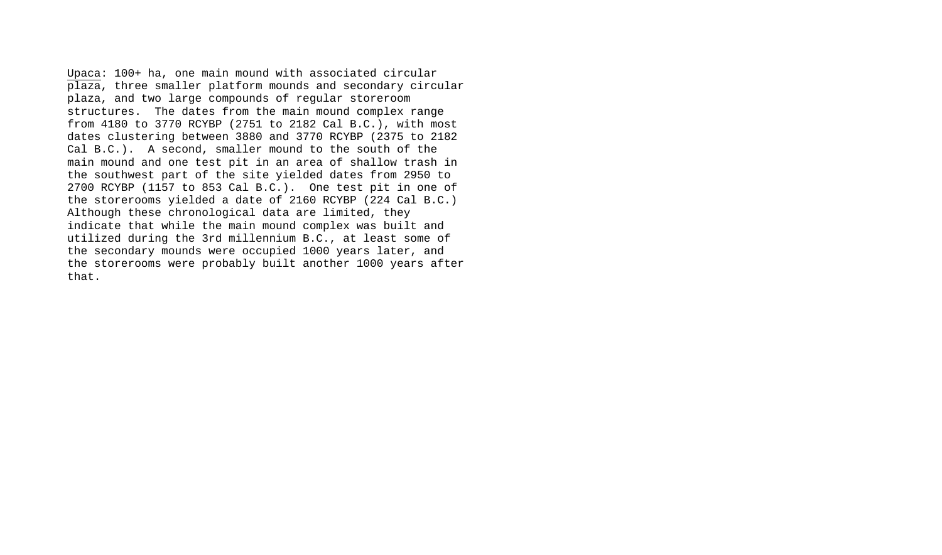Upaca: 100+ ha, one main mound with associated circular plaza, three smaller platform mounds and secondary circular plaza, and two large compounds of regular storeroom structures. The dates from the main mound complex range from 4180 to 3770 RCYBP (2751 to 2182 Cal B.C.), with most dates clustering between 3880 and 3770 RCYBP (2375 to 2182 Cal B.C.). A second, smaller mound to the south of the main mound and one test pit in an area of shallow trash in the southwest part of the site yielded dates from 2950 to 2700 RCYBP (1157 to 853 Cal B.C.). One test pit in one of the storerooms yielded a date of 2160 RCYBP (224 Cal B.C.) Although these chronological data are limited, they indicate that while the main mound complex was built and utilized during the 3rd millennium B.C., at least some of the secondary mounds were occupied 1000 years later, and the storerooms were probably built another 1000 years after that.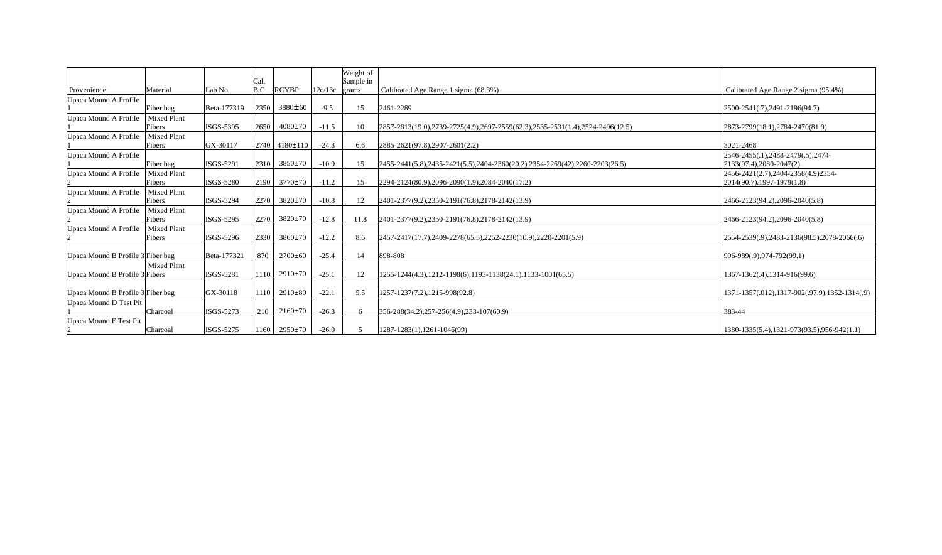|                                   |                    |                  | Cal. |                       |         | Weight of<br>Sample in |                                                                                     |                                               |
|-----------------------------------|--------------------|------------------|------|-----------------------|---------|------------------------|-------------------------------------------------------------------------------------|-----------------------------------------------|
| Provenience                       | Material           | Lab No.          | B.C. | <b>RCYBP</b>          | 12c/13c | grams                  | Calibrated Age Range 1 sigma (68.3%)                                                | Calibrated Age Range 2 sigma (95.4%)          |
| Upaca Mound A Profile             |                    |                  |      |                       |         |                        |                                                                                     |                                               |
|                                   | Fiber bag          | Beta-177319      | 2350 | $3880 \pm 60$         | $-9.5$  | 15                     | 2461-2289                                                                           | 2500-2541(.7), 2491-2196(94.7)                |
| Jpaca Mound A Profile             | <b>Mixed Plant</b> |                  |      |                       |         |                        |                                                                                     |                                               |
|                                   | <b>Fibers</b>      | ISGS-5395        | 2650 | $4080 \pm 70$         | $-11.5$ | 10                     | 2857-2813(19.0),2739-2725(4.9),2697-2559(62.3),2535-2531(1.4),2524-2496(12.5)       | 2873-2799(18.1), 2784-2470(81.9)              |
| Jpaca Mound A Profile             | <b>Mixed Plant</b> |                  |      |                       |         |                        |                                                                                     |                                               |
|                                   | Fibers             | GX-30117         |      | $2740$ 4180 $\pm$ 110 | $-24.3$ | 6.6                    | $2885 - 2621(97.8), 2907 - 2601(2.2)$                                               | 3021-2468                                     |
| Jpaca Mound A Profile             |                    |                  |      |                       |         |                        |                                                                                     | 2546-2455(.1), 2488-2479(.5), 2474-           |
|                                   | Fiber bag          | ISGS-5291        |      | 2310 3850±70          | $-10.9$ | 15                     | $[2455-2441(5.8), 2435-2421(5.5), 2404-2360(20.2), 2354-2269(42), 2260-2203(26.5)]$ | 2133(97.4), 2080-2047(2)                      |
| Jpaca Mound A Profile             | Mixed Plant        |                  |      |                       |         |                        |                                                                                     | 2456-2421(2.7),2404-2358(4.9)2354-            |
|                                   | <b>Fibers</b>      | <b>ISGS-5280</b> |      | 2190 3770±70          | $-11.2$ | 15                     | 2294-2124(80.9),2096-2090(1.9),2084-2040(17.2)                                      | 2014(90.7).1997-1979(1.8)                     |
| Jpaca Mound A Profile             | <b>Mixed Plant</b> |                  |      |                       |         |                        |                                                                                     |                                               |
|                                   | Fibers             | <b>ISGS-5294</b> | 2270 | 3820±70               | $-10.8$ | 12                     | 2401-2377(9.2),2350-2191(76.8),2178-2142(13.9)                                      | 2466-2123(94.2).2096-2040(5.8)                |
| Jpaca Mound A Profile             | <b>Mixed Plant</b> |                  |      |                       |         |                        |                                                                                     |                                               |
|                                   | Fibers             | ISGS-5295        | 2270 | 3820±70               | $-12.8$ | 11.8                   | 2401-2377(9.2),2350-2191(76.8),2178-2142(13.9)                                      | 2466-2123(94.2), 2096-2040(5.8)               |
| Upaca Mound A Profile             | <b>Mixed Plant</b> |                  |      |                       |         |                        |                                                                                     |                                               |
|                                   | Fibers             | ISGS-5296        | 2330 | $3860 \pm 70$         | $-12.2$ | 8.6                    | $[2457-2417(17.7), 2409-2278(65.5), 2252-2230(10.9), 2220-2201(5.9)]$               | 2554-2539(.9),2483-2136(98.5),2078-2066(.6)   |
|                                   |                    |                  |      |                       |         |                        |                                                                                     |                                               |
| Upaca Mound B Profile 3 Fiber bag |                    | Beta-177321      | 870  | $2700 \pm 60$         | $-25.4$ | 14                     | 898-808                                                                             | 996-989(.9), 974-792(99.1)                    |
|                                   | <b>Mixed Plant</b> |                  |      |                       |         |                        |                                                                                     |                                               |
| Upaca Mound B Profile 3 Fibers    |                    | ISGS-5281        |      | 1110 2910±70          | $-25.1$ | 12                     | $(1255-1244(4.3), 1212-1198(6), 1193-1138(24.1), 1133-1001(65.5))$                  | 1367-1362(.4), 1314-916(99.6)                 |
|                                   |                    |                  |      |                       |         |                        |                                                                                     |                                               |
| Upaca Mound B Profile 3 Fiber bag |                    | GX-30118         |      | 1110 2910±80          | $-22.1$ | 5.5                    | $1257 - 1237(7.2), 1215 - 998(92.8)$                                                | 1371-1357(.012),1317-902(.97.9),1352-1314(.9) |
| Jpaca Mound D Test Pit            |                    |                  |      |                       |         |                        |                                                                                     |                                               |
|                                   | Charcoal           | ISGS-5273        | 210  | $2160 \pm 70$         | $-26.3$ | 6                      | 356-288(34.2), 257-256(4.9), 233-107(60.9)                                          | 383-44                                        |
| Upaca Mound E Test Pit            |                    |                  |      |                       |         |                        |                                                                                     |                                               |
|                                   | Charcoal           | ISGS-5275        |      | $1160$ 2950 $\pm$ 70  | $-26.0$ | .5                     | $1287 - 1283(1)$ , 1261 - 1046(99)                                                  | 1380-1335(5.4), 1321-973(93.5), 956-942(1.1)  |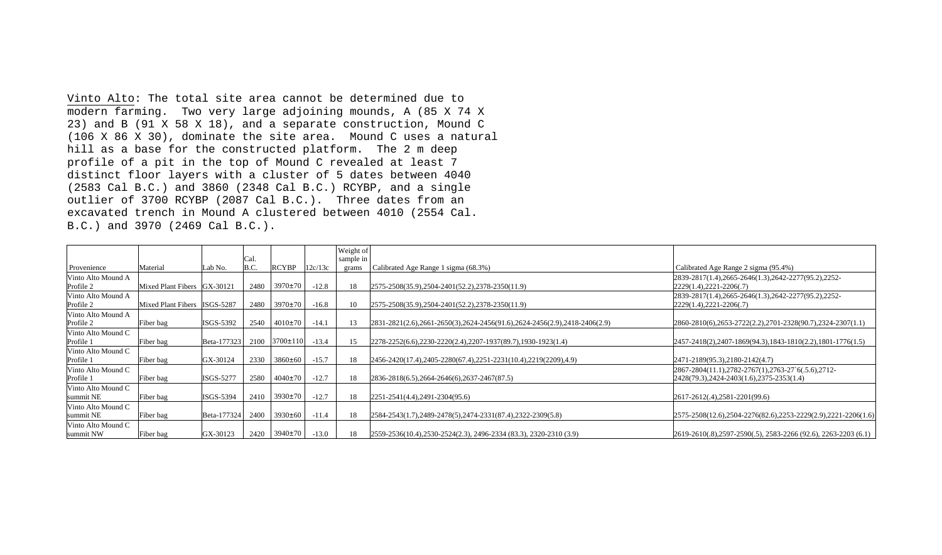Vinto Alto: The total site area cannot be determined due to modern farming. Two very large adjoining mounds, A (85 X 74 X 23) and B (91 X 58 X 18), and a separate construction, Mound C (106 X 86 X 30), dominate the site area. Mound C uses a natural hill as a base for the constructed platform. The 2 m deep profile of a pit in the top of Mound C revealed at least 7 distinct floor layers with a cluster of 5 dates between 4040 (2583 Cal B.C.) and 3860 (2348 Cal B.C.) RCYBP, and a single outlier of 3700 RCYBP (2087 Cal B.C.). Three dates from an excavated trench in Mound A clustered between 4010 (2554 Cal. B.C.) and 3970 (2469 Cal B.C.).

|                                 |                              |                  |              |                       |         | Weight of |                                                                               |                                                                                                              |
|---------------------------------|------------------------------|------------------|--------------|-----------------------|---------|-----------|-------------------------------------------------------------------------------|--------------------------------------------------------------------------------------------------------------|
| Provenience                     | Material                     | Lab No.          | Cal.<br>B.C. | RCYBP                 | 12c/13c | sample in | Calibrated Age Range 1 sigma (68.3%)                                          | Calibrated Age Range 2 sigma (95.4%)                                                                         |
|                                 |                              |                  |              |                       |         | grams     |                                                                               |                                                                                                              |
| Vinto Alto Mound A<br>Profile 2 | Mixed Plant Fibers GX-30121  |                  | 2480         | $3970 \pm 70$         | $-12.8$ | 18        | $2575-2508(35.9)$ , $2504-2401(52.2)$ , $2378-2350(11.9)$                     | 2839-2817(1.4), 2665-2646(1.3), 2642-2277(95.2), 2252-<br>$2229(1.4)$ , $2221 - 2206(0.7)$                   |
| Vinto Alto Mound A<br>Profile 2 | Mixed Plant Fibers ISGS-5287 |                  | 2480         | $3970 \pm 70$         | $-16.8$ | 10        | $[2575-2508(35.9),2504-2401(52.2),2378-2350(11.9)]$                           | 2839-2817(1.4), 2665-2646(1.3), 2642-2277(95.2), 2252-<br>$2229(1.4)$ , $2221 - 2206(0.7)$                   |
| Vinto Alto Mound A<br>Profile 2 | Fiber bag                    | ISGS-5392        | 2540         | $4010 \pm 70$         | $-14.1$ | 13        | $[2831-2821(2.6),2661-2650(3),2624-2456(91.6),2624-2456(2.9),2418-2406(2.9)]$ | $[2860-2810(6),2653-2722(2.2),2701-2328(90.7),2324-2307(1.1)]$                                               |
| Vinto Alto Mound C<br>Profile 1 | Fiber bag                    | Beta-177323      |              | $2100$ 3700 $\pm$ 110 | $-13.4$ | 15        | 2278-2252(6.6),2230-2220(2.4),2207-1937(89.7),1930-1923(1.4)                  | $[2457-2418(2), 2407-1869(94.3), 1843-1810(2.2), 1801-1776(1.5)]$                                            |
| Vinto Alto Mound C<br>Profile 1 | Fiber bag                    | GX-30124         | 2330         | $3860 \pm 60$         | $-15.7$ | 18        | $[2456-2420(17.4), 2405-2280(67.4), 2251-2231(10.4), 2219(2209), 4.9)]$       | $[2471-2189(95.3), 2180-2142(4.7)]$                                                                          |
| Vinto Alto Mound C<br>Profile 1 | Fiber bag                    | <b>ISGS-5277</b> | 2580         | $4040 \pm 70$         | $-12.7$ | 18        | 2836-2818(6.5), 2664-2646(6), 2637-2467(87.5)                                 | $2867 - 2804(11.1), 2782 - 2767(1), 2763 - 276(0.5.6), 2712 -$<br>2428(79.3), 2424-2403(1.6), 2375-2353(1.4) |
| Vinto Alto Mound C<br>summit NE | Fiber bag                    | ISGS-5394        |              | 2410 3930±70          | $-12.7$ | 18        | $2251-2541(4.4), 2491-2304(95.6)$                                             | $[2617-2612(.4), 2581-2201(99.6)]$                                                                           |
| Vinto Alto Mound C<br>summit NE | Fiber bag                    | Beta-177324      | 2400         | $3930\pm60$           | $-11.4$ | 18        | $2584-2543(1.7), 2489-2478(5), 2474-2331(87.4), 2322-2309(5.8)$               | 2575-2508(12.6),2504-2276(82.6),2253-2229(2.9),2221-2206(1.6)                                                |
| Vinto Alto Mound C<br>summit NW | Fiber bag                    | GX-30123         | 2420         | $3940 \pm 70$         | $-13.0$ | 18        | $[2559-2536(10.4), 2530-2524(2.3), 2496-2334(83.3), 2320-2310(3.9)]$          | $[2619-2610(.8), 2597-2590(.5), 2583-2266 (92.6), 2263-2203 (6.1)]$                                          |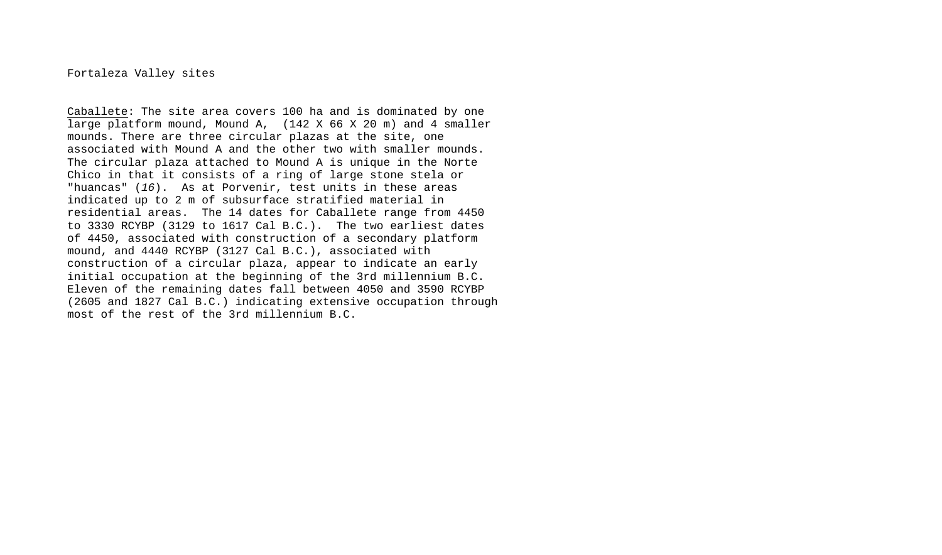## Fortaleza Valley sites

Caballete: The site area covers 100 ha and is dominated by one large platform mound, Mound A, (142 X 66 X 20 m) and 4 smaller mounds. There are three circular plazas at the site, one associated with Mound A and the other two with smaller mounds. The circular plaza attached to Mound A is unique in the Norte Chico in that it consists of a ring of large stone stela or "huancas" (*16*). As at Porvenir, test units in these areas indicated up to 2 m of subsurface stratified material in residential areas. The 14 dates for Caballete range from 4450 to 3330 RCYBP (3129 to 1617 Cal B.C.). The two earliest dates of 4450, associated with construction of a secondary platform mound, and 4440 RCYBP (3127 Cal B.C.), associated with construction of a circular plaza, appear to indicate an early initial occupation at the beginning of the 3rd millennium B.C. Eleven of the remaining dates fall between 4050 and 3590 RCYBP (2605 and 1827 Cal B.C.) indicating extensive occupation through most of the rest of the 3rd millennium B.C.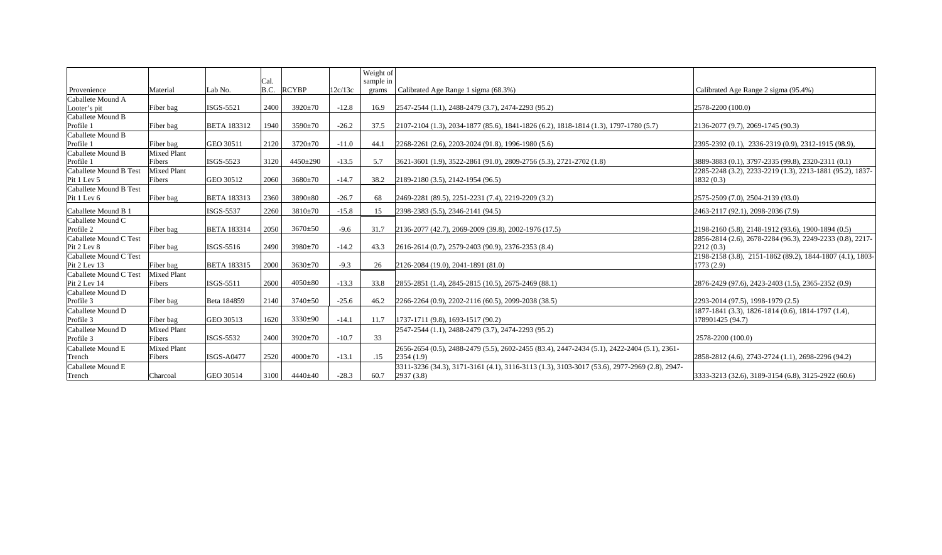|                        |                    |                    | Cal. |               |         | Weight of<br>sample in |                                                                                              |                                                           |
|------------------------|--------------------|--------------------|------|---------------|---------|------------------------|----------------------------------------------------------------------------------------------|-----------------------------------------------------------|
| Provenience            | Material           | Lab No.            | B.C. | <b>RCYBP</b>  | 12c/13c | grams                  | Calibrated Age Range 1 sigma (68.3%)                                                         | Calibrated Age Range 2 sigma (95.4%)                      |
| Caballete Mound A      |                    |                    |      |               |         |                        |                                                                                              |                                                           |
| Looter's pit           | Fiber bag          | ISGS-5521          | 2400 | 3920±70       | $-12.8$ | 16.9                   | $[2547-2544(1.1), 2488-2479(3.7), 2474-2293(95.2)]$                                          | 2578-2200 (100.0)                                         |
| Caballete Mound B      |                    |                    |      |               |         |                        |                                                                                              |                                                           |
| Profile 1              | Fiber bag          | <b>BETA 183312</b> | 1940 | $3590 \pm 70$ | $-26.2$ | 37.5                   | 2107-2104 (1.3), 2034-1877 (85.6), 1841-1826 (6.2), 1818-1814 (1.3), 1797-1780 (5.7)         | 2136-2077 (9.7), 2069-1745 (90.3)                         |
| Caballete Mound B      |                    |                    |      |               |         |                        |                                                                                              |                                                           |
| Profile 1              | Fiber bag          | GEO 30511          | 2120 | $3720 \pm 70$ | $-11.0$ | 44.1                   | 2268-2261 (2.6), 2203-2024 (91.8), 1996-1980 (5.6)                                           | 2395-2392 (0.1), 2336-2319 (0.9), 2312-1915 (98.9),       |
| Caballete Mound B      | <b>Mixed Plant</b> |                    |      |               |         |                        |                                                                                              |                                                           |
| Profile 1              | Fibers             | ISGS-5523          | 3120 | 4450±290      | $-13.5$ | 5.7                    | 3621-3601 (1.9), 3522-2861 (91.0), 2809-2756 (5.3), 2721-2702 (1.8)                          | 3889-3883 (0.1), 3797-2335 (99.8), 2320-2311 (0.1)        |
| Caballete Mound B Test | <b>Mixed Plant</b> |                    |      |               |         |                        |                                                                                              | 2285-2248 (3.2), 2233-2219 (1.3), 2213-1881 (95.2), 1837- |
| Pit 1 Lev 5            | Fibers             | GEO 30512          | 2060 | $3680 \pm 70$ | $-14.7$ | 38.2                   | $2189-2180(3.5), 2142-1954(96.5)$                                                            | 1832(0.3)                                                 |
| Caballete Mound B Test |                    |                    |      |               |         |                        |                                                                                              |                                                           |
| Pit 1 Lev 6            | Fiber bag          | <b>BETA 183313</b> | 2360 | $3890 \pm 80$ | $-26.7$ | 68                     | 2469-2281 (89.5), 2251-2231 (7.4), 2219-2209 (3.2)                                           | 2575-2509 (7.0), 2504-2139 (93.0)                         |
| Caballete Mound B 1    |                    | <b>ISGS-5537</b>   | 2260 | $3810\pm70$   | $-15.8$ | 15                     | 2398-2383 (5.5), 2346-2141 (94.5)                                                            | 2463-2117 (92.1), 2098-2036 (7.9)                         |
| Caballete Mound C      |                    |                    |      |               |         |                        |                                                                                              |                                                           |
| Profile 2              | Fiber bag          | <b>BETA 183314</b> | 2050 | $3670 \pm 50$ | $-9.6$  | 31.7                   | 2136-2077 (42.7), 2069-2009 (39.8), 2002-1976 (17.5)                                         | 2198-2160 (5.8), 2148-1912 (93.6), 1900-1894 (0.5)        |
| Caballete Mound C Test |                    |                    |      |               |         |                        |                                                                                              | 2856-2814 (2.6), 2678-2284 (96.3), 2249-2233 (0.8), 2217- |
| Pit 2 Lev 8            | Fiber bag          | ISGS-5516          | 2490 | $3980 \pm 70$ | $-14.2$ | 43.3                   | 2616-2614 (0.7), 2579-2403 (90.9), 2376-2353 (8.4)                                           | 2212 (0.3)                                                |
| Caballete Mound C Test |                    |                    |      |               |         |                        |                                                                                              | 2198-2158 (3.8), 2151-1862 (89.2), 1844-1807 (4.1), 1803- |
| Pit 2 Lev 13           | Fiber bag          | <b>BETA 183315</b> | 2000 | $3630 \pm 70$ | $-9.3$  | 26                     | 2126-2084 (19.0), 2041-1891 (81.0)                                                           | 1773(2.9)                                                 |
| Caballete Mound C Test | <b>Mixed Plant</b> |                    |      |               |         |                        |                                                                                              |                                                           |
| Pit 2 Lev 14           | Fibers             | ISGS-5511          | 2600 | $4050 \pm 80$ | $-13.3$ | 33.8                   | 2855-2851 (1.4), 2845-2815 (10.5), 2675-2469 (88.1)                                          | 2876-2429 (97.6), 2423-2403 (1.5), 2365-2352 (0.9)        |
| Caballete Mound D      |                    |                    |      |               |         |                        |                                                                                              |                                                           |
| Profile 3              | Fiber bag          | Beta 184859        | 2140 | $3740 \pm 50$ | $-25.6$ | 46.2                   | 2266-2264 (0.9), 2202-2116 (60.5), 2099-2038 (38.5)                                          | 2293-2014 (97.5), 1998-1979 (2.5)                         |
| Caballete Mound D      |                    |                    |      |               |         |                        |                                                                                              | 1877-1841 (3.3), 1826-1814 (0.6), 1814-1797 (1.4),        |
| Profile 3              | Fiber bag          | GEO 30513          | 1620 | $3330\pm90$   | $-14.1$ | 11.7                   | 1737-1711 (9.8), 1693-1517 (90.2)                                                            | 178901425 (94.7)                                          |
| Caballete Mound D      | <b>Mixed Plant</b> |                    |      |               |         |                        | 2547-2544 (1.1), 2488-2479 (3.7), 2474-2293 (95.2)                                           |                                                           |
| Profile 3              | Fibers             | ISGS-5532          | 2400 | $3920 \pm 70$ | $-10.7$ | 33                     |                                                                                              | 2578-2200 (100.0)                                         |
| Caballete Mound E      | <b>Mixed Plant</b> |                    |      |               |         |                        | 2656-2654 (0.5), 2488-2479 (5.5), 2602-2455 (83.4), 2447-2434 (5.1), 2422-2404 (5.1), 2361-  |                                                           |
| Trench                 | Fibers             | <b>ISGS-A0477</b>  | 2520 | $4000 \pm 70$ | $-13.1$ | .15                    | 2354(1.9)                                                                                    | 2858-2812 (4.6), 2743-2724 (1.1), 2698-2296 (94.2)        |
| Caballete Mound E      |                    |                    |      |               |         |                        | 3311-3236 (34.3), 3171-3161 (4.1), 3116-3113 (1.3), 3103-3017 (53.6), 2977-2969 (2.8), 2947- |                                                           |
| Trench                 | Charcoal           | GEO 30514          | 3100 | 4440±40       | $-28.3$ | 60.7                   | 2937 (3.8)                                                                                   | 3333-3213 (32.6), 3189-3154 (6.8), 3125-2922 (60.6)       |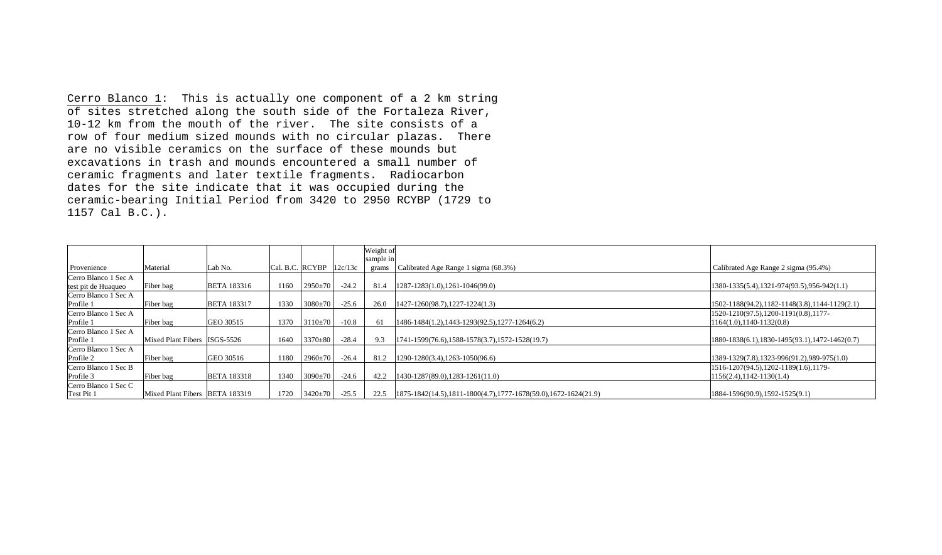Cerro Blanco 1: This is actually one component of a 2 km string of sites stretched along the south side of the Fortaleza River, 10-12 km from the mouth of the river. The site consists of a row of four medium sized mounds with no circular plazas. There are no visible ceramics on the surface of these mounds but excavations in trash and mounds encountered a small number of ceramic fragments and later textile fragments. Radiocarbon dates for the site indicate that it was occupied during the ceramic-bearing Initial Period from 3420 to 2950 RCYBP (1729 to 1157 Cal B.C.).

|                      |                                |                    |      |                              |         | Weight of |                                                                     |                                                         |
|----------------------|--------------------------------|--------------------|------|------------------------------|---------|-----------|---------------------------------------------------------------------|---------------------------------------------------------|
|                      |                                |                    |      |                              |         | sample in |                                                                     |                                                         |
| Provenience          | Material                       | Lab No.            |      | Cal. B.C. $RCYBP$ $ 12c/13c$ |         |           | grams   Calibrated Age Range 1 sigma (68.3%)                        | Calibrated Age Range 2 sigma (95.4%)                    |
| Cerro Blanco 1 Sec A |                                |                    |      |                              |         |           |                                                                     |                                                         |
| test pit de Huaqueo  | Fiber bag                      | <b>BETA 183316</b> | 1160 | $2950 \pm 70$                | $-24.2$ | 81.4      | $1287 - 1283(1.0)$ , 1261-1046(99.0)                                | $(1380-1335(5.4), 1321-974(93.5), 956-942(1.1))$        |
| Cerro Blanco 1 Sec A |                                |                    |      |                              |         |           |                                                                     |                                                         |
| Profile 1            | Fiber bag                      | <b>BETA 183317</b> | 1330 | $3080 \pm 70$                | $-25.6$ | 26.0      | $1427 - 1260(98.7), 1227 - 1224(1.3)$                               | $1502 - 1188(94.2), 1182 - 1148(3.8), 1144 - 1129(2.1)$ |
| Cerro Blanco 1 Sec A |                                |                    |      |                              |         |           |                                                                     | $1520-1210(97.5), 1200-1191(0.8), 1177-$                |
| Profile 1            | Fiber bag                      | GEO 30515          | 1370 | $3110\pm70$                  | $-10.8$ |           | 1486-1484(1.2), 1443-1293(92.5), 1277-1264(6.2)                     | $1164(1.0), 1140-1132(0.8)$                             |
| Cerro Blanco 1 Sec A |                                |                    |      |                              |         |           |                                                                     |                                                         |
| Profile 1            | Mixed Plant Fibers ISGS-5526   |                    | 1640 | $3370 \pm 80$                | $-28.4$ | 9.3       | $(1741-1599(76.6), 1588-1578(3.7), 1572-1528(19.7))$                | $1880-1838(6.1), 1830-1495(93.1), 1472-1462(0.7)$       |
| Cerro Blanco 1 Sec A |                                |                    |      |                              |         |           |                                                                     |                                                         |
| Profile 2            | Fiber bag                      | GEO 30516          | 1180 | $2960 \pm 70$                | $-26.4$ | 81.2      | 1290-1280(3.4), 1263-1050(96.6)                                     | $(1389-1329(7.8), 1323-996(91.2), 989-975(1.0))$        |
| Cerro Blanco 1 Sec B |                                |                    |      |                              |         |           |                                                                     | 1516-1207(94.5), 1202-1189(1.6), 1179-                  |
| Profile 3            | Fiber bag                      | <b>BETA 183318</b> | 1340 | $3090 \pm 70$                | $-24.6$ | 42.2      | 1430-1287(89.0), 1283-1261(11.0)                                    | $1156(2.4), 1142-1130(1.4)$                             |
| Cerro Blanco 1 Sec C |                                |                    |      |                              |         |           |                                                                     |                                                         |
| Test Pit 1           | Mixed Plant Fibers BETA 183319 |                    | 1720 | $3420 \pm 70$                | $-25.5$ | 22.5      | $1875-1842(14.5), 1811-1800(4.7), 1777-1678(59.0), 1672-1624(21.9)$ | $1884-1596(90.9), 1592-1525(9.1)$                       |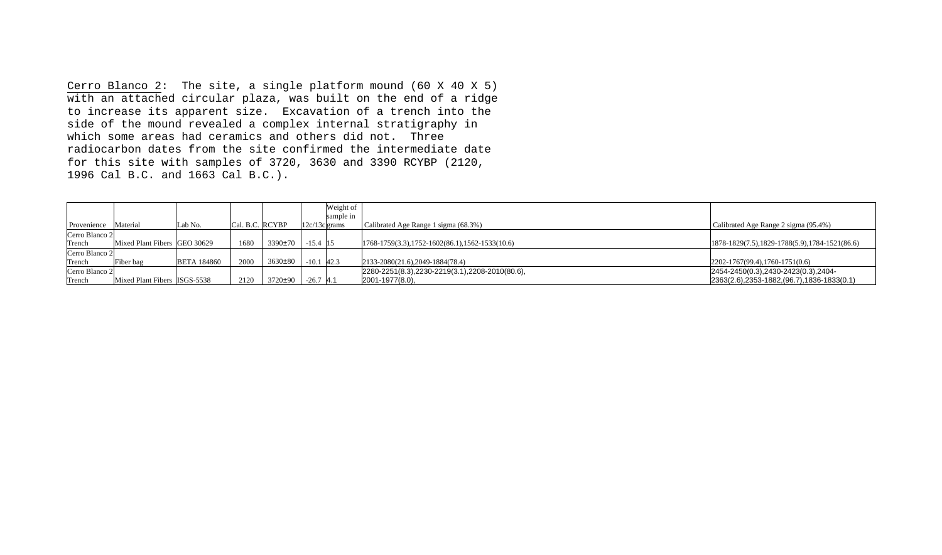Cerro Blanco 2: The site, a single platform mound (60 X 40 X 5) with an attached circular plaza, was built on the end of a ridge to increase its apparent size. Excavation of a trench into the side of the mound revealed a complex internal stratigraphy in which some areas had ceramics and others did not. Three radiocarbon dates from the site confirmed the intermediate date for this site with samples of 3720, 3630 and 3390 RCYBP (2120, 1996 Cal B.C. and 1663 Cal B.C.).

|                |                              |                    |                 |                        |                 | Weight of |                                                    |                                                 |
|----------------|------------------------------|--------------------|-----------------|------------------------|-----------------|-----------|----------------------------------------------------|-------------------------------------------------|
| Provenience    | Material                     | Lab No.            | Cal. B.C. RCYBP |                        | $12c/13c$ erams | sample in | Calibrated Age Range 1 sigma (68.3%)               | Calibrated Age Range 2 sigma (95.4%)            |
|                |                              |                    |                 |                        |                 |           |                                                    |                                                 |
| Cerro Blanco 2 |                              |                    |                 |                        |                 |           |                                                    |                                                 |
| Trench         | Mixed Plant Fibers GEO 30629 |                    | 1680            | $3390 \pm 70$ -15.4 15 |                 |           | $1768-1759(3.3), 1752-1602(86.1), 1562-1533(10.6)$ | 1878-1829(7.5), 1829-1788(5.9), 1784-1521(86.6) |
| Cerro Blanco 2 |                              |                    |                 |                        |                 |           |                                                    |                                                 |
| Trench         | Fiber bag                    | <b>BETA 184860</b> | 2000            | $3630\pm80$            | $-10.1$ 42.3    |           | 2133-2080(21.6), 2049-1884(78.4)                   | 2202-1767(99.4), 1760-1751(0.6)                 |
| Cerro Blanco 2 |                              |                    |                 |                        |                 |           | 2280-2251(8.3), 2230-2219(3.1), 2208-2010(80.6),   | 2454-2450(0.3),2430-2423(0.3),2404-             |
| Trench         | Mixed Plant Fibers ISGS-5538 |                    | 2120            | $3720 \pm 90$          | $-26.7$ 4.1     |           | $2001 - 1977(8.0)$ ,                               | 2363(2.6), 2353-1882, (96.7), 1836-1833(0.1)    |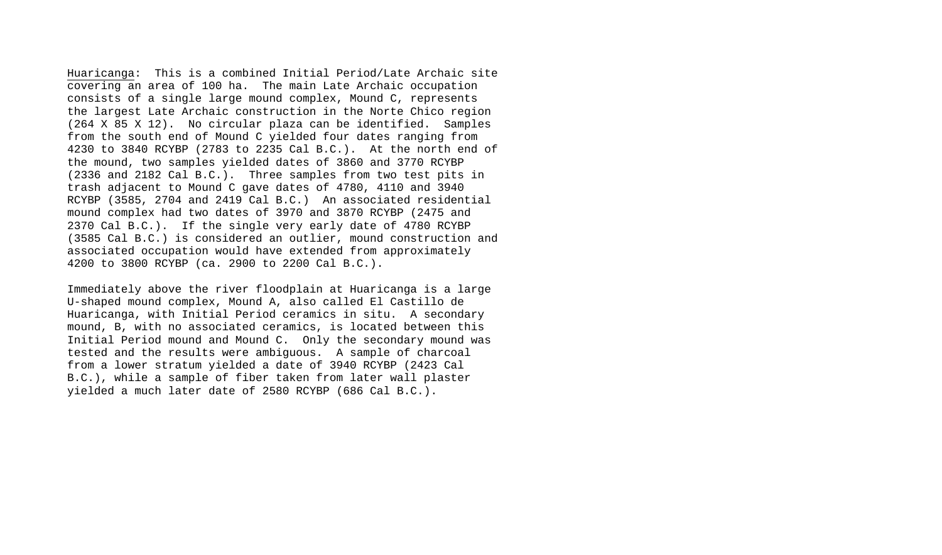Huaricanga: This is a combined Initial Period/Late Archaic site covering an area of 100 ha. The main Late Archaic occupation consists of a single large mound complex, Mound C, represents the largest Late Archaic construction in the Norte Chico region (264 X 85 X 12). No circular plaza can be identified. Samples from the south end of Mound C yielded four dates ranging from 4230 to 3840 RCYBP (2783 to 2235 Cal B.C.). At the north end of the mound, two samples yielded dates of 3860 and 3770 RCYBP (2336 and 2182 Cal B.C.). Three samples from two test pits in trash adjacent to Mound C gave dates of 4780, 4110 and 3940 RCYBP (3585, 2704 and 2419 Cal B.C.) An associated residential mound complex had two dates of 3970 and 3870 RCYBP (2475 and 2370 Cal B.C.). If the single very early date of 4780 RCYBP (3585 Cal B.C.) is considered an outlier, mound construction and associated occupation would have extended from approximately 4200 to 3800 RCYBP (ca. 2900 to 2200 Cal B.C.).

Immediately above the river floodplain at Huaricanga is a large U-shaped mound complex, Mound A, also called El Castillo de Huaricanga, with Initial Period ceramics in situ. A secondary mound, B, with no associated ceramics, is located between this Initial Period mound and Mound C. Only the secondary mound was tested and the results were ambiguous. A sample of charcoal from a lower stratum yielded a date of 3940 RCYBP (2423 Cal B.C.), while a sample of fiber taken from later wall plaster yielded a much later date of 2580 RCYBP (686 Cal B.C.).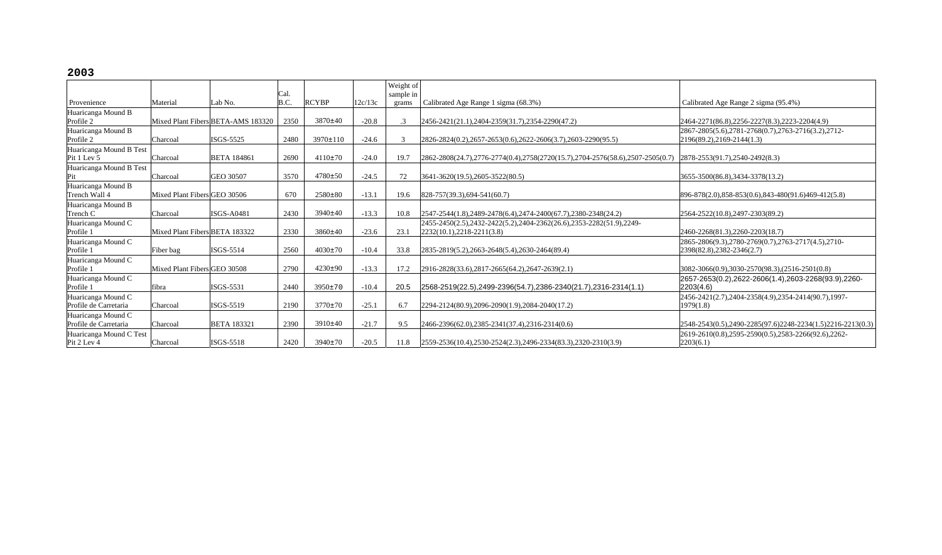## **2003**

|                                 |                                |                                    |             |                |         | Weight of          |                                                                                                              |                                                                                  |
|---------------------------------|--------------------------------|------------------------------------|-------------|----------------|---------|--------------------|--------------------------------------------------------------------------------------------------------------|----------------------------------------------------------------------------------|
| Provenience                     | Material                       | Lab No.                            | Cal<br>B.C. | <b>RCYBP</b>   | 12c/13c | sample in<br>grams | Calibrated Age Range 1 sigma (68.3%)                                                                         | Calibrated Age Range 2 sigma (95.4%)                                             |
| Huaricanga Mound B              |                                |                                    |             |                |         |                    |                                                                                                              |                                                                                  |
| Profile 2                       |                                | Mixed Plant Fibers BETA-AMS 183320 | 2350        | 3870±40        | $-20.8$ | .3                 | 2456-2421(21.1),2404-2359(31.7),2354-2290(47.2)                                                              | 2464-2271(86.8), 2256-2227(8.3), 2223-2204(4.9)                                  |
| Huaricanga Mound B<br>Profile 2 | Charcoal                       | ISGS-5525                          | 2480        | $3970 \pm 110$ | $-24.6$ |                    | 2826-2824(0.2), 2657-2653(0.6), 2622-2606(3.7), 2603-2290(95.5)                                              | 2867-2805(5.6),2781-2768(0.7),2763-2716(3.2),2712-<br>2196(89.2), 2169-2144(1.3) |
| Huaricanga Mound B Test         |                                |                                    |             |                |         |                    |                                                                                                              |                                                                                  |
| Pit 1 Lev 5                     | Charcoal                       | <b>BETA 184861</b>                 | 2690        | $4110 \pm 70$  | $-24.0$ | 19.7               | 2862-2808(24.7),2776-2774(0.4),2758(2720(15.7),2704-2576(58.6),2507-2505(0.7) 2878-2553(91.7),2540-2492(8.3) |                                                                                  |
| Huaricanga Mound B Test         |                                |                                    |             |                |         |                    |                                                                                                              |                                                                                  |
| Pit                             | Charcoal                       | GEO 30507                          | 3570        | $4780 \pm 50$  | $-24.5$ | 72                 | 3641-3620(19.5), 2605-3522(80.5)                                                                             | 3655-3500(86.8), 3434-3378(13.2)                                                 |
| Huaricanga Mound B              |                                |                                    |             |                |         |                    |                                                                                                              |                                                                                  |
| Trench Wall 4                   | Mixed Plant Fibers GEO 30506   |                                    | 670         | $2580\pm80$    | $-13.1$ | 19.6               | 828-757(39.3), 694-541(60.7)                                                                                 | 896-878(2.0), 858-853(0.6), 843-480(91.6) 469-412(5.8)                           |
| Huaricanga Mound B              |                                |                                    |             |                |         |                    |                                                                                                              |                                                                                  |
| Trench C                        | Charcoal                       | <b>ISGS-A0481</b>                  | 2430        | 3940±40        | $-13.3$ | 10.8               | $[2547-2544(1.8), 2489-2478(6.4), 2474-2400(67.7), 2380-2348(24.2)]$                                         | 2564-2522(10.8), 2497-2303(89.2)                                                 |
| Huaricanga Mound C              |                                |                                    |             |                |         |                    | 2455-2450(2.5),2432-2422(5.2),2404-2362(26.6),2353-2282(51.9),2249-                                          |                                                                                  |
| Profile 1                       | Mixed Plant Fibers BETA 183322 |                                    | 2330        | $3860 \pm 40$  | $-23.6$ | 23.1               | 2232(10.1), 2218-2211(3.8)                                                                                   | 2460-2268(81.3), 2260-2203(18.7)                                                 |
| Huaricanga Mound C              |                                |                                    |             |                |         |                    |                                                                                                              | 2865-2806(9.3),2780-2769(0.7),2763-2717(4.5),2710-                               |
| Profile 1                       | Fiber bag                      | ISGS-5514                          | 2560        | $4030 \pm 70$  | $-10.4$ | 33.8               | 2835-2819(5.2), 2663-2648(5.4), 2630-2464(89.4)                                                              | 2398(82.8), 2382-2346(2.7)                                                       |
| Huaricanga Mound C              |                                |                                    |             |                |         |                    |                                                                                                              |                                                                                  |
| Profile 1                       | Mixed Plant Fibers GEO 30508   |                                    | 2790        | $4230 \pm 90$  | $-13.3$ | 17.2               | 2916-2828(33.6),2817-2665(64.2),2647-2639(2.1)                                                               | 3082-3066(0.9),3030-2570(98.3),(2516-2501(0.8)                                   |
| Huaricanga Mound C<br>Profile 1 | fibra                          | ISGS-5531                          | 2440        | 3950±70        | $-10.4$ | 20.5               | 2568-2519(22.5),2499-2396(54.7),2386-2340(21.7),2316-2314(1.1)                                               | 2657-2653(0.2),2622-2606(1.4),2603-2268(93.9),2260-<br>2203(4.6)                 |
| Huaricanga Mound C              |                                |                                    |             |                |         |                    |                                                                                                              | 2456-2421(2.7), 2404-2358(4.9), 2354-2414(90.7), 1997-                           |
| Profile de Carretaria           | Charcoal                       | ISGS-5519                          | 2190        | $3770 \pm 70$  | $-25.1$ | 6.7                | 2294-2124(80.9),2096-2090(1.9),2084-2040(17.2)                                                               | 1979(1.8)                                                                        |
| Huaricanga Mound C              |                                |                                    |             |                |         |                    |                                                                                                              |                                                                                  |
| Profile de Carretaria           | Charcoal                       | <b>BETA 183321</b>                 | 2390        | 3910±40        | $-21.7$ | 9.5                | 2466-2396(62.0),2385-2341(37.4),2316-2314(0.6)                                                               | 2548-2543(0.5), 2490-2285(97.6) 2248-2234(1.5) 2216-2213(0.3)                    |
| Huaricanga Mound C Test         |                                |                                    |             |                |         |                    |                                                                                                              | 2619-2610(0.8),2595-2590(0.5),2583-2266(92.6),2262-                              |
| Pit 2 Lev 4                     | Charcoal                       | ISGS-5518                          | 2420        | $3940 \pm 70$  | $-20.5$ | 11.8               | 2559-2536(10.4),2530-2524(2.3),2496-2334(83.3),2320-2310(3.9)                                                | 2203(6.1)                                                                        |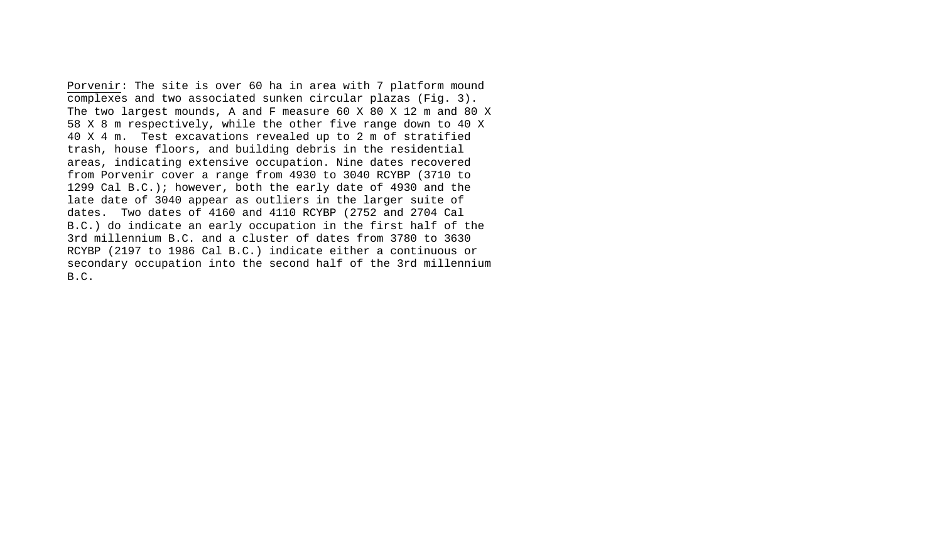Porvenir: The site is over 60 ha in area with 7 platform mound complexes and two associated sunken circular plazas (Fig. 3). The two largest mounds, A and F measure 60 X 80 X 12 m and 80 X 58 X 8 m respectively, while the other five range down to 40 X 40 X 4 m. Test excavations revealed up to 2 m of stratified trash, house floors, and building debris in the residential areas, indicating extensive occupation. Nine dates recovered from Porvenir cover a range from 4930 to 3040 RCYBP (3710 to 1299 Cal B.C.); however, both the early date of 4930 and the late date of 3040 appear as outliers in the larger suite of dates. Two dates of 4160 and 4110 RCYBP (2752 and 2704 Cal B.C.) do indicate an early occupation in the first half of the 3rd millennium B.C. and a cluster of dates from 3780 to 3630 RCYBP (2197 to 1986 Cal B.C.) indicate either a continuous or secondary occupation into the second half of the 3rd millennium B.C.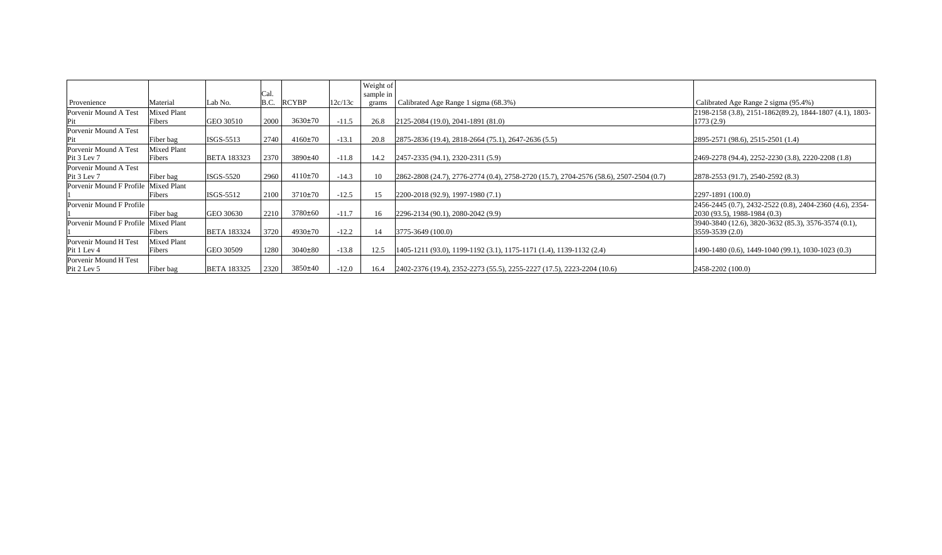|                                      |                              |                    | Cal. |               |         | Weight of<br>sample in |                                                                                        |                                                                                              |
|--------------------------------------|------------------------------|--------------------|------|---------------|---------|------------------------|----------------------------------------------------------------------------------------|----------------------------------------------------------------------------------------------|
| Provenience                          | Material                     | Lab No.            | B.C. | <b>RCYBP</b>  | 12c/13c | grams                  | Calibrated Age Range 1 sigma (68.3%)                                                   | Calibrated Age Range 2 sigma (95.4%)                                                         |
| Porvenir Mound A Test<br>Pit         | <b>Mixed Plant</b><br>Fibers | GEO 30510          | 2000 | $3630 \pm 70$ | $-11.5$ | 26.8                   | $2125 - 2084$ (19.0), 2041-1891 (81.0)                                                 | 2198-2158 (3.8), 2151-1862(89.2), 1844-1807 (4.1), 1803-<br>1773(2.9)                        |
| Porvenir Mound A Test<br>Pit         | Fiber bag                    | ISGS-5513          | 2740 | $4160 \pm 70$ | $-13.1$ | 20.8                   | 2875-2836 (19.4), 2818-2664 (75.1), 2647-2636 (5.5)                                    | 2895-2571 (98.6), 2515-2501 (1.4)                                                            |
| Porvenir Mound A Test<br>Pit 3 Lev 7 | <b>Mixed Plant</b><br>Fibers | <b>BETA 183323</b> | 2370 | 3890±40       | $-11.8$ | 14.2                   | $[2457-2335(94.1), 2320-2311(5.9)]$                                                    | 2469-2278 (94.4), 2252-2230 (3.8), 2220-2208 (1.8)                                           |
| Porvenir Mound A Test<br>Pit 3 Lev 7 | Fiber bag                    | ISGS-5520          | 2960 | $4110\pm70$   | $-14.3$ |                        | 2862-2808 (24.7), 2776-2774 (0.4), 2758-2720 (15.7), 2704-2576 (58.6), 2507-2504 (0.7) | 2878-2553 (91.7), 2540-2592 (8.3)                                                            |
| Porvenir Mound F Profile Mixed Plant | Fibers                       | ISGS-5512          | 2100 | $3710 \pm 70$ | $-12.5$ | 15                     | 2200-2018 (92.9), 1997-1980 (7.1)                                                      | 2297-1891 (100.0)                                                                            |
| Porvenir Mound F Profile             | Fiber bag                    | GEO 30630          | 2210 | $3780 \pm 60$ | $-11.7$ | 16.                    | 2296-2134 (90.1), 2080-2042 (9.9)                                                      | 2456-2445 (0.7), 2432-2522 (0.8), 2404-2360 (4.6), 2354-<br>$[2030 (93.5), 1988-1984 (0.3)]$ |
| Porvenir Mound F Profile             | <b>Mixed Plant</b><br>Fibers | <b>BETA 183324</b> | 3720 | $4930 \pm 70$ | $-12.2$ |                        | 3775-3649 (100.0)                                                                      | 3940-3840 (12.6), 3820-3632 (85.3), 3576-3574 (0.1),<br>3559-3539 (2.0)                      |
| Porvenir Mound H Test<br>Pit 1 Lev 4 | <b>Mixed Plant</b><br>Fibers | GEO 30509          | 1280 | $3040 \pm 80$ | $-13.8$ | 12.5                   | $(1405-1211(93.0), 1199-1192(3.1), 1175-1171(1.4), 1139-1132(2.4))$                    | $1490-1480(0.6), 1449-1040(99.1), 1030-1023(0.3)$                                            |
| Porvenir Mound H Test<br>Pit 2 Lev 5 | Fiber bag                    | <b>BETA 183325</b> | 2320 | $3850 \pm 40$ | $-12.0$ | 16.4                   | 2402-2376 (19.4), 2352-2273 (55.5), 2255-2227 (17.5), 2223-2204 (10.6)                 | $2458 - 2202(100.0)$                                                                         |